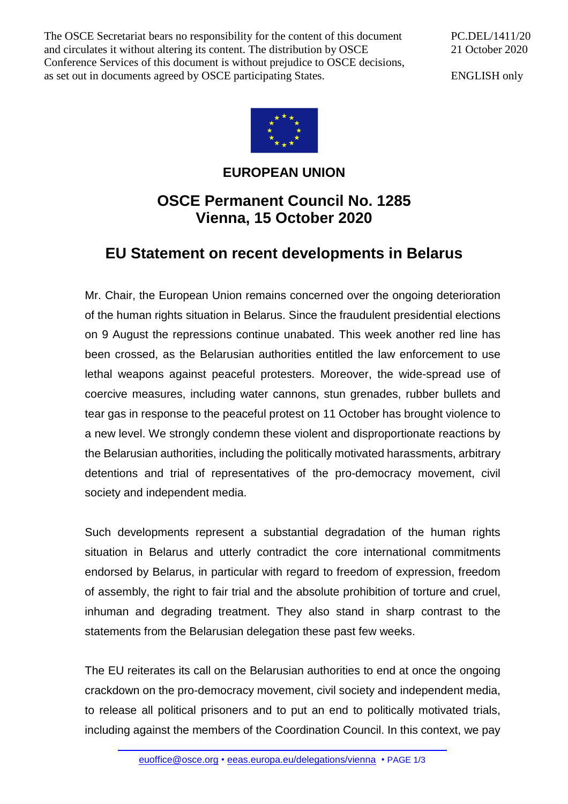The OSCE Secretariat bears no responsibility for the content of this document and circulates it without altering its content. The distribution by OSCE Conference Services of this document is without prejudice to OSCE decisions, as set out in documents agreed by OSCE participating States.

PC.DEL/1411/20 21 October 2020

ENGLISH only



## **EUROPEAN UNION**

## **OSCE Permanent Council No. 1285 Vienna, 15 October 2020**

## **EU Statement on recent developments in Belarus**

Mr. Chair, the European Union remains concerned over the ongoing deterioration of the human rights situation in Belarus. Since the fraudulent presidential elections on 9 August the repressions continue unabated. This week another red line has been crossed, as the Belarusian authorities entitled the law enforcement to use lethal weapons against peaceful protesters. Moreover, the wide-spread use of coercive measures, including water cannons, stun grenades, rubber bullets and tear gas in response to the peaceful protest on 11 October has brought violence to a new level. We strongly condemn these violent and disproportionate reactions by the Belarusian authorities, including the politically motivated harassments, arbitrary detentions and trial of representatives of the pro-democracy movement, civil society and independent media.

Such developments represent a substantial degradation of the human rights situation in Belarus and utterly contradict the core international commitments endorsed by Belarus, in particular with regard to freedom of expression, freedom of assembly, the right to fair trial and the absolute prohibition of torture and cruel, inhuman and degrading treatment. They also stand in sharp contrast to the statements from the Belarusian delegation these past few weeks.

The EU reiterates its call on the Belarusian authorities to end at once the ongoing crackdown on the pro-democracy movement, civil society and independent media, to release all political prisoners and to put an end to politically motivated trials, including against the members of the Coordination Council. In this context, we pay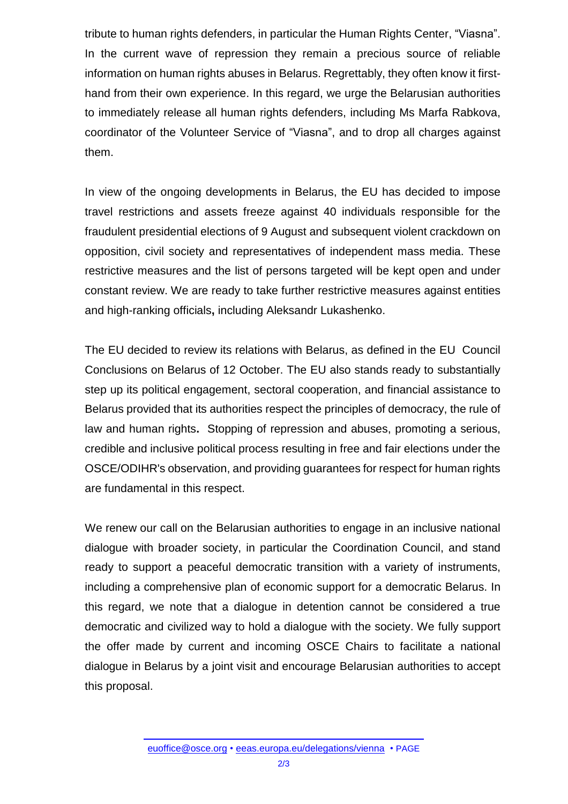tribute to human rights defenders, in particular the Human Rights Center, "Viasna". In the current wave of repression they remain a precious source of reliable information on human rights abuses in Belarus. Regrettably, they often know it firsthand from their own experience. In this regard, we urge the Belarusian authorities to immediately release all human rights defenders, including Ms Marfa Rabkova, coordinator of the Volunteer Service of "Viasna", and to drop all charges against them.

In view of the ongoing developments in Belarus, the EU has decided to impose travel restrictions and assets freeze against 40 individuals responsible for the fraudulent presidential elections of 9 August and subsequent violent crackdown on opposition, civil society and representatives of independent mass media. These restrictive measures and the list of persons targeted will be kept open and under constant review. We are ready to take further restrictive measures against entities and high-ranking officials**,** including Aleksandr Lukashenko.

The EU decided to review its relations with Belarus, as defined in the EU Council Conclusions on Belarus of 12 October. The EU also stands ready to substantially step up its political engagement, sectoral cooperation, and financial assistance to Belarus provided that its authorities respect the principles of democracy, the rule of law and human rights**.** Stopping of repression and abuses, promoting a serious, credible and inclusive political process resulting in free and fair elections under the OSCE/ODIHR's observation, and providing guarantees for respect for human rights are fundamental in this respect.

We renew our call on the Belarusian authorities to engage in an inclusive national dialogue with broader society, in particular the Coordination Council, and stand ready to support a peaceful democratic transition with a variety of instruments, including a comprehensive plan of economic support for a democratic Belarus. In this regard, we note that a dialogue in detention cannot be considered a true democratic and civilized way to hold a dialogue with the society. We fully support the offer made by current and incoming OSCE Chairs to facilitate a national dialogue in Belarus by a joint visit and encourage Belarusian authorities to accept this proposal.